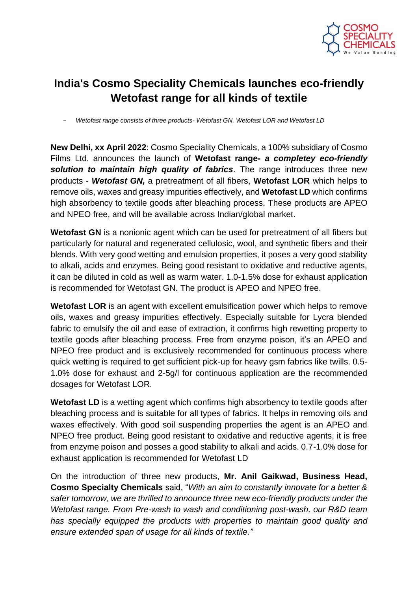

## **India's Cosmo Speciality Chemicals launches eco-friendly Wetofast range for all kinds of textile**

- *Wetofast range consists of three products- Wetofast GN, Wetofast LOR and Wetofast LD* 

**New Delhi, xx April 2022**: Cosmo Speciality Chemicals, a 100% subsidiary of Cosmo Films Ltd. announces the launch of **Wetofast range-** *a completey eco-friendly solution to maintain high quality of fabrics*. The range introduces three new products - *Wetofast GN,* a pretreatment of all fibers, **Wetofast LOR** which helps to remove oils, waxes and greasy impurities effectively, and **Wetofast LD** which confirms high absorbency to textile goods after bleaching process. These products are APEO and NPEO free, and will be available across Indian/global market.

**Wetofast GN** is a nonionic agent which can be used for pretreatment of all fibers but particularly for natural and regenerated cellulosic, wool, and synthetic fibers and their blends. With very good wetting and emulsion properties, it poses a very good stability to alkali, acids and enzymes. Being good resistant to oxidative and reductive agents, it can be diluted in cold as well as warm water. 1.0-1.5% dose for exhaust application is recommended for Wetofast GN. The product is APEO and NPEO free.

**Wetofast LOR** is an agent with excellent emulsification power which helps to remove oils, waxes and greasy impurities effectively. Especially suitable for Lycra blended fabric to emulsify the oil and ease of extraction, it confirms high rewetting property to textile goods after bleaching process. Free from enzyme poison, it's an APEO and NPEO free product and is exclusively recommended for continuous process where quick wetting is required to get sufficient pick-up for heavy gsm fabrics like twills. 0.5- 1.0% dose for exhaust and 2-5g/l for continuous application are the recommended dosages for Wetofast LOR.

**Wetofast LD** is a wetting agent which confirms high absorbency to textile goods after bleaching process and is suitable for all types of fabrics. It helps in removing oils and waxes effectively. With good soil suspending properties the agent is an APEO and NPEO free product. Being good resistant to oxidative and reductive agents, it is free from enzyme poison and posses a good stability to alkali and acids. 0.7-1.0% dose for exhaust application is recommended for Wetofast LD

On the introduction of three new products, **Mr. Anil Gaikwad, Business Head, Cosmo Specialty Chemicals** said, "*With an aim to constantly innovate for a better & safer tomorrow, we are thrilled to announce three new eco-friendly products under the Wetofast range. From Pre-wash to wash and conditioning post-wash, our R&D team has specially equipped the products with properties to maintain good quality and ensure extended span of usage for all kinds of textile."*